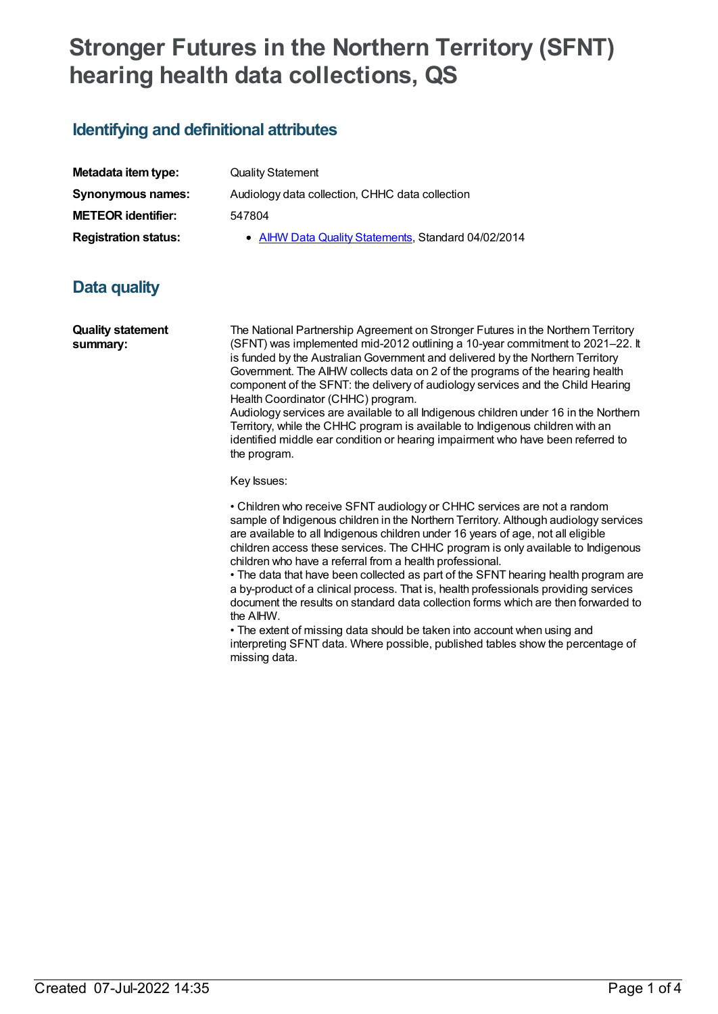## **Stronger Futures in the Northern Territory (SFNT) hearing health data collections, QS**

## **Identifying and definitional attributes**

| Metadata item type:         | <b>Quality Statement</b>                            |
|-----------------------------|-----------------------------------------------------|
| <b>Synonymous names:</b>    | Audiology data collection, CHHC data collection     |
| <b>METEOR identifier:</b>   | 547804                                              |
| <b>Registration status:</b> | • AIHW Data Quality Statements, Standard 04/02/2014 |

## **Data quality**

**Quality statement summary:**

The National Partnership Agreement on Stronger Futures in the Northern Territory (SFNT) was implemented mid-2012 outlining a 10-year commitment to 2021–22. It is funded by the AustralianGovernment and delivered by the Northern Territory Government. The AIHW collects data on 2 of the programs of the hearing health component of the SFNT: the delivery of audiology services and the Child Hearing Health Coordinator (CHHC) program.

Audiology services are available to all Indigenous children under 16 in the Northern Territory, while the CHHC program is available to Indigenous children with an identified middle ear condition or hearing impairment who have been referred to the program.

Key Issues:

• Children who receive SFNT audiology or CHHC services are not a random sample of Indigenous children in the Northern Territory. Although audiology services are available to all Indigenous children under 16 years of age, not all eligible children access these services. The CHHC program is only available to Indigenous children who have a referral from a health professional.

• The data that have been collected as part of the SFNT hearing health program are a by-product of a clinical process. That is, health professionals providing services document the results on standard data collection forms which are then forwarded to the AIHW.

• The extent of missing data should be taken into account when using and interpreting SFNT data. Where possible, published tables show the percentage of missing data.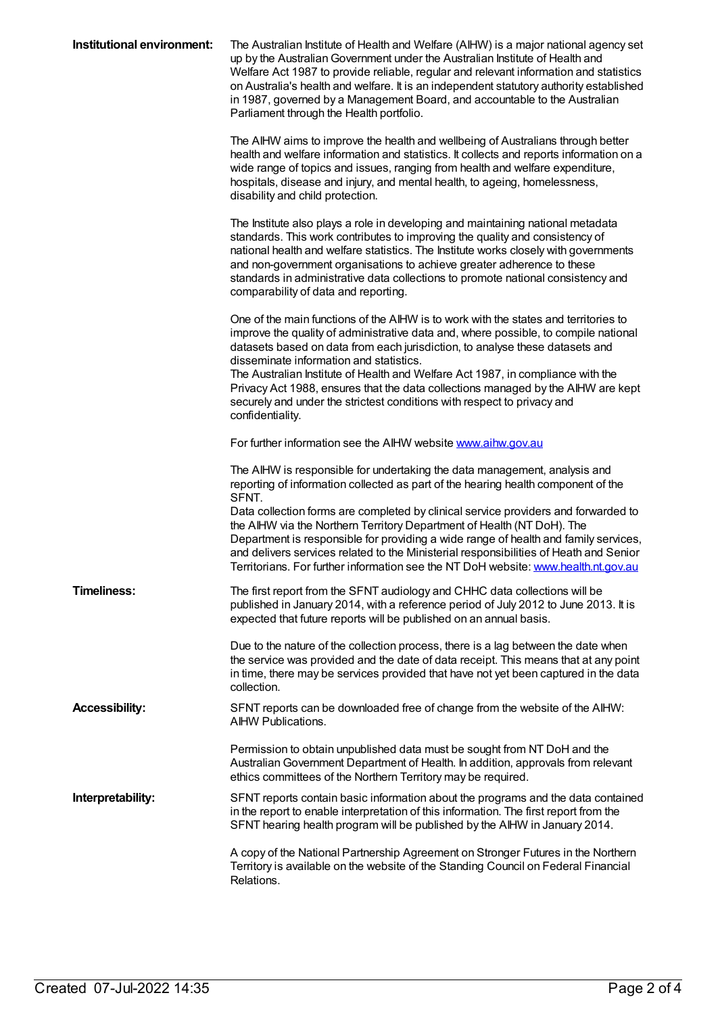| Institutional environment: | The Australian Institute of Health and Welfare (AIHW) is a major national agency set<br>up by the Australian Government under the Australian Institute of Health and<br>Welfare Act 1987 to provide reliable, regular and relevant information and statistics<br>on Australia's health and welfare. It is an independent statutory authority established<br>in 1987, governed by a Management Board, and accountable to the Australian<br>Parliament through the Health portfolio.                                                                                          |
|----------------------------|-----------------------------------------------------------------------------------------------------------------------------------------------------------------------------------------------------------------------------------------------------------------------------------------------------------------------------------------------------------------------------------------------------------------------------------------------------------------------------------------------------------------------------------------------------------------------------|
|                            | The AIHW aims to improve the health and wellbeing of Australians through better<br>health and welfare information and statistics. It collects and reports information on a<br>wide range of topics and issues, ranging from health and welfare expenditure,<br>hospitals, disease and injury, and mental health, to ageing, homelessness,<br>disability and child protection.                                                                                                                                                                                               |
|                            | The Institute also plays a role in developing and maintaining national metadata<br>standards. This work contributes to improving the quality and consistency of<br>national health and welfare statistics. The Institute works closely with governments<br>and non-government organisations to achieve greater adherence to these<br>standards in administrative data collections to promote national consistency and<br>comparability of data and reporting.                                                                                                               |
|                            | One of the main functions of the AIHW is to work with the states and territories to<br>improve the quality of administrative data and, where possible, to compile national<br>datasets based on data from each jurisdiction, to analyse these datasets and<br>disseminate information and statistics.<br>The Australian Institute of Health and Welfare Act 1987, in compliance with the<br>Privacy Act 1988, ensures that the data collections managed by the AIHW are kept<br>securely and under the strictest conditions with respect to privacy and<br>confidentiality. |
|                            | For further information see the AIHW website www.aihw.gov.au                                                                                                                                                                                                                                                                                                                                                                                                                                                                                                                |
|                            | The AIHW is responsible for undertaking the data management, analysis and<br>reporting of information collected as part of the hearing health component of the<br>SFNT.<br>Data collection forms are completed by clinical service providers and forwarded to<br>the AIHW via the Northern Territory Department of Health (NT DoH). The<br>Department is responsible for providing a wide range of health and family services,                                                                                                                                              |
|                            | and delivers services related to the Ministerial responsibilities of Heath and Senior<br>Territorians. For further information see the NT DoH website: www.health.nt.gov.au                                                                                                                                                                                                                                                                                                                                                                                                 |
| <b>Timeliness:</b>         | The first report from the SFNT audiology and CHHC data collections will be<br>published in January 2014, with a reference period of July 2012 to June 2013. It is<br>expected that future reports will be published on an annual basis.                                                                                                                                                                                                                                                                                                                                     |
|                            | Due to the nature of the collection process, there is a lag between the date when<br>the service was provided and the date of data receipt. This means that at any point<br>in time, there may be services provided that have not yet been captured in the data<br>collection.                                                                                                                                                                                                                                                                                              |
| <b>Accessibility:</b>      | SFNT reports can be downloaded free of change from the website of the AIHW:<br><b>AIHW Publications.</b>                                                                                                                                                                                                                                                                                                                                                                                                                                                                    |
|                            | Permission to obtain unpublished data must be sought from NT DoH and the<br>Australian Government Department of Health. In addition, approvals from relevant<br>ethics committees of the Northern Territory may be required.                                                                                                                                                                                                                                                                                                                                                |
| Interpretability:          | SFNT reports contain basic information about the programs and the data contained<br>in the report to enable interpretation of this information. The first report from the<br>SFNT hearing health program will be published by the AIHW in January 2014.                                                                                                                                                                                                                                                                                                                     |
|                            | A copy of the National Partnership Agreement on Stronger Futures in the Northern<br>Territory is available on the website of the Standing Council on Federal Financial<br>Relations.                                                                                                                                                                                                                                                                                                                                                                                        |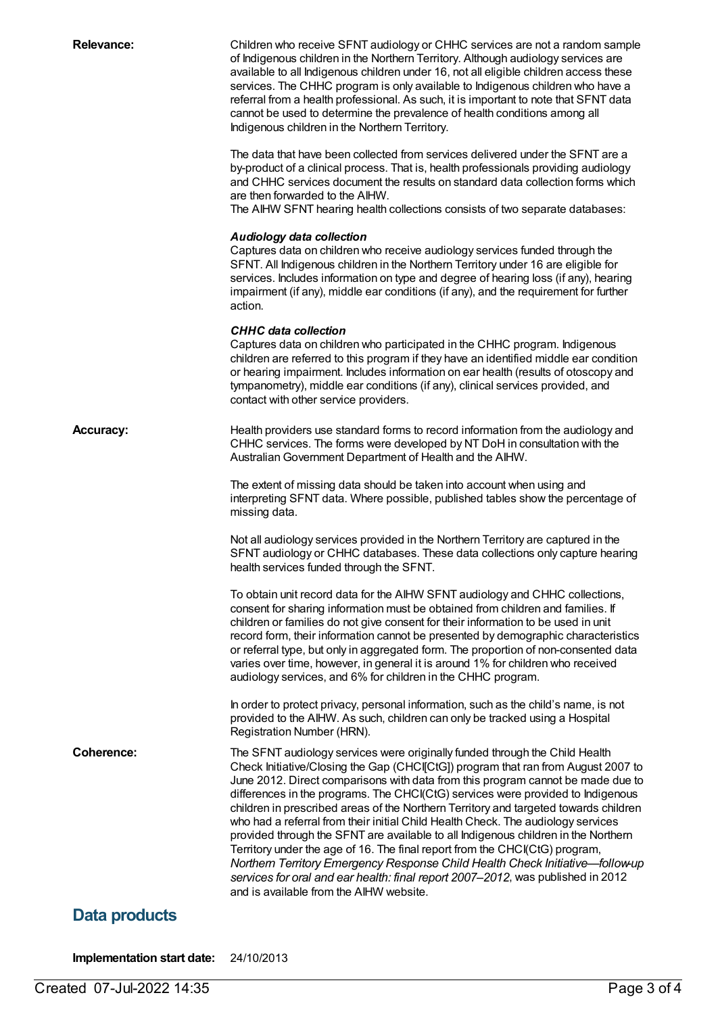| <b>Relevance:</b> | Children who receive SFNT audiology or CHHC services are not a random sample<br>of Indigenous children in the Northern Territory. Although audiology services are<br>available to all Indigenous children under 16, not all eligible children access these<br>services. The CHHC program is only available to Indigenous children who have a<br>referral from a health professional. As such, it is important to note that SFNT data<br>cannot be used to determine the prevalence of health conditions among all<br>Indigenous children in the Northern Territory.                                                                                                                                                                                                                                                                                                                                    |
|-------------------|--------------------------------------------------------------------------------------------------------------------------------------------------------------------------------------------------------------------------------------------------------------------------------------------------------------------------------------------------------------------------------------------------------------------------------------------------------------------------------------------------------------------------------------------------------------------------------------------------------------------------------------------------------------------------------------------------------------------------------------------------------------------------------------------------------------------------------------------------------------------------------------------------------|
|                   | The data that have been collected from services delivered under the SFNT are a<br>by-product of a clinical process. That is, health professionals providing audiology<br>and CHHC services document the results on standard data collection forms which<br>are then forwarded to the AIHW.<br>The AIHW SFNT hearing health collections consists of two separate databases:                                                                                                                                                                                                                                                                                                                                                                                                                                                                                                                             |
|                   | <b>Audiology data collection</b><br>Captures data on children who receive audiology services funded through the<br>SFNT. All Indigenous children in the Northern Territory under 16 are eligible for<br>services. Includes information on type and degree of hearing loss (if any), hearing<br>impairment (if any), middle ear conditions (if any), and the requirement for further<br>action.                                                                                                                                                                                                                                                                                                                                                                                                                                                                                                         |
|                   | <b>CHHC</b> data collection<br>Captures data on children who participated in the CHHC program. Indigenous<br>children are referred to this program if they have an identified middle ear condition<br>or hearing impairment. Includes information on ear health (results of otoscopy and<br>tympanometry), middle ear conditions (if any), clinical services provided, and<br>contact with other service providers.                                                                                                                                                                                                                                                                                                                                                                                                                                                                                    |
| Accuracy:         | Health providers use standard forms to record information from the audiology and<br>CHHC services. The forms were developed by NT DoH in consultation with the<br>Australian Government Department of Health and the AIHW.                                                                                                                                                                                                                                                                                                                                                                                                                                                                                                                                                                                                                                                                             |
|                   | The extent of missing data should be taken into account when using and<br>interpreting SFNT data. Where possible, published tables show the percentage of<br>missing data.                                                                                                                                                                                                                                                                                                                                                                                                                                                                                                                                                                                                                                                                                                                             |
|                   | Not all audiology services provided in the Northern Territory are captured in the<br>SFNT audiology or CHHC databases. These data collections only capture hearing<br>health services funded through the SFNT.                                                                                                                                                                                                                                                                                                                                                                                                                                                                                                                                                                                                                                                                                         |
|                   | To obtain unit record data for the AIHW SFNT audiology and CHHC collections,<br>consent for sharing information must be obtained from children and families. If<br>children or families do not give consent for their information to be used in unit<br>record form, their information cannot be presented by demographic characteristics<br>or referral type, but only in aggregated form. The proportion of non-consented data<br>varies over time, however, in general it is around 1% for children who received<br>audiology services, and 6% for children in the CHHC program.                                                                                                                                                                                                                                                                                                                    |
|                   | In order to protect privacy, personal information, such as the child's name, is not<br>provided to the AIHW. As such, children can only be tracked using a Hospital<br>Registration Number (HRN).                                                                                                                                                                                                                                                                                                                                                                                                                                                                                                                                                                                                                                                                                                      |
| <b>Coherence:</b> | The SFNT audiology services were originally funded through the Child Health<br>Check Initiative/Closing the Gap (CHCI[CtG]) program that ran from August 2007 to<br>June 2012. Direct comparisons with data from this program cannot be made due to<br>differences in the programs. The CHCI(CtG) services were provided to Indigenous<br>children in prescribed areas of the Northern Territory and targeted towards children<br>who had a referral from their initial Child Health Check. The audiology services<br>provided through the SFNT are available to all Indigenous children in the Northern<br>Territory under the age of 16. The final report from the CHCI(CtG) program,<br>Northern Territory Emergency Response Child Health Check Initiative-follow-up<br>services for oral and ear health: final report 2007-2012, was published in 2012<br>and is available from the AIHW website. |
| Data products     |                                                                                                                                                                                                                                                                                                                                                                                                                                                                                                                                                                                                                                                                                                                                                                                                                                                                                                        |

**Implementation start date:** 24/10/2013